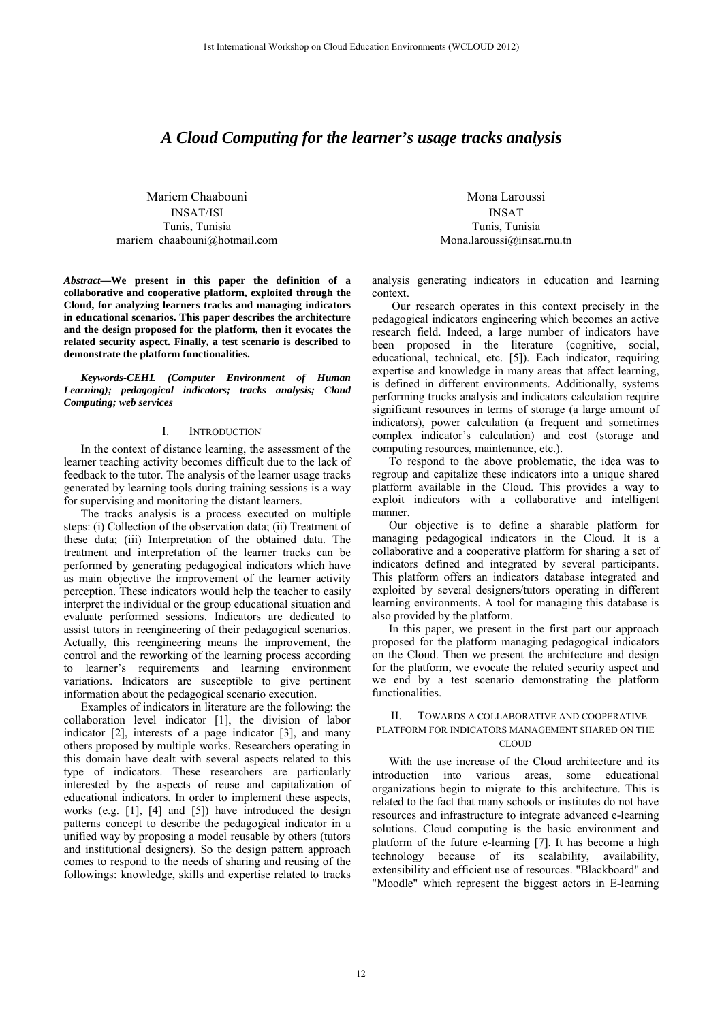# *A Cloud Computing for the learner's usage tracks analysis*

Mariem Chaabouni INSAT/ISI Tunis, Tunisia mariem\_chaabouni@hotmail.com

*Abstract***—We present in this paper the definition of a collaborative and cooperative platform, exploited through the Cloud, for analyzing learners tracks and managing indicators in educational scenarios. This paper describes the architecture and the design proposed for the platform, then it evocates the related security aspect. Finally, a test scenario is described to demonstrate the platform functionalities.** 

*Keywords-CEHL (Computer Environment of Human Learning); pedagogical indicators; tracks analysis; Cloud Computing; web services* 

# I. INTRODUCTION

In the context of distance learning, the assessment of the learner teaching activity becomes difficult due to the lack of feedback to the tutor. The analysis of the learner usage tracks generated by learning tools during training sessions is a way for supervising and monitoring the distant learners.

The tracks analysis is a process executed on multiple steps: (i) Collection of the observation data; (ii) Treatment of these data; (iii) Interpretation of the obtained data. The treatment and interpretation of the learner tracks can be performed by generating pedagogical indicators which have as main objective the improvement of the learner activity perception. These indicators would help the teacher to easily interpret the individual or the group educational situation and evaluate performed sessions. Indicators are dedicated to assist tutors in reengineering of their pedagogical scenarios. Actually, this reengineering means the improvement, the control and the reworking of the learning process according to learner's requirements and learning environment variations. Indicators are susceptible to give pertinent information about the pedagogical scenario execution.

Examples of indicators in literature are the following: the collaboration level indicator [1], the division of labor indicator [2], interests of a page indicator [3], and many others proposed by multiple works. Researchers operating in this domain have dealt with several aspects related to this type of indicators. These researchers are particularly interested by the aspects of reuse and capitalization of educational indicators. In order to implement these aspects, works (e.g. [1], [4] and [5]) have introduced the design patterns concept to describe the pedagogical indicator in a unified way by proposing a model reusable by others (tutors and institutional designers). So the design pattern approach comes to respond to the needs of sharing and reusing of the followings: knowledge, skills and expertise related to tracks

Mona Laroussi INSAT Tunis, Tunisia Mona.laroussi@insat.rnu.tn

analysis generating indicators in education and learning context.

 Our research operates in this context precisely in the pedagogical indicators engineering which becomes an active research field. Indeed, a large number of indicators have been proposed in the literature (cognitive, social, educational, technical, etc. [5]). Each indicator, requiring expertise and knowledge in many areas that affect learning, is defined in different environments. Additionally, systems performing trucks analysis and indicators calculation require significant resources in terms of storage (a large amount of indicators), power calculation (a frequent and sometimes complex indicator's calculation) and cost (storage and computing resources, maintenance, etc.).

To respond to the above problematic, the idea was to regroup and capitalize these indicators into a unique shared platform available in the Cloud. This provides a way to exploit indicators with a collaborative and intelligent manner.

Our objective is to define a sharable platform for managing pedagogical indicators in the Cloud. It is a collaborative and a cooperative platform for sharing a set of indicators defined and integrated by several participants. This platform offers an indicators database integrated and exploited by several designers/tutors operating in different learning environments. A tool for managing this database is also provided by the platform.

In this paper, we present in the first part our approach proposed for the platform managing pedagogical indicators on the Cloud. Then we present the architecture and design for the platform, we evocate the related security aspect and we end by a test scenario demonstrating the platform functionalities.

# II. TOWARDS A COLLABORATIVE AND COOPERATIVE PLATFORM FOR INDICATORS MANAGEMENT SHARED ON THE CLOUD

With the use increase of the Cloud architecture and its introduction into various areas, some educational organizations begin to migrate to this architecture. This is related to the fact that many schools or institutes do not have resources and infrastructure to integrate advanced e-learning solutions. Cloud computing is the basic environment and platform of the future e-learning [7]. It has become a high technology because of its scalability, availability, extensibility and efficient use of resources. "Blackboard" and "Moodle" which represent the biggest actors in E-learning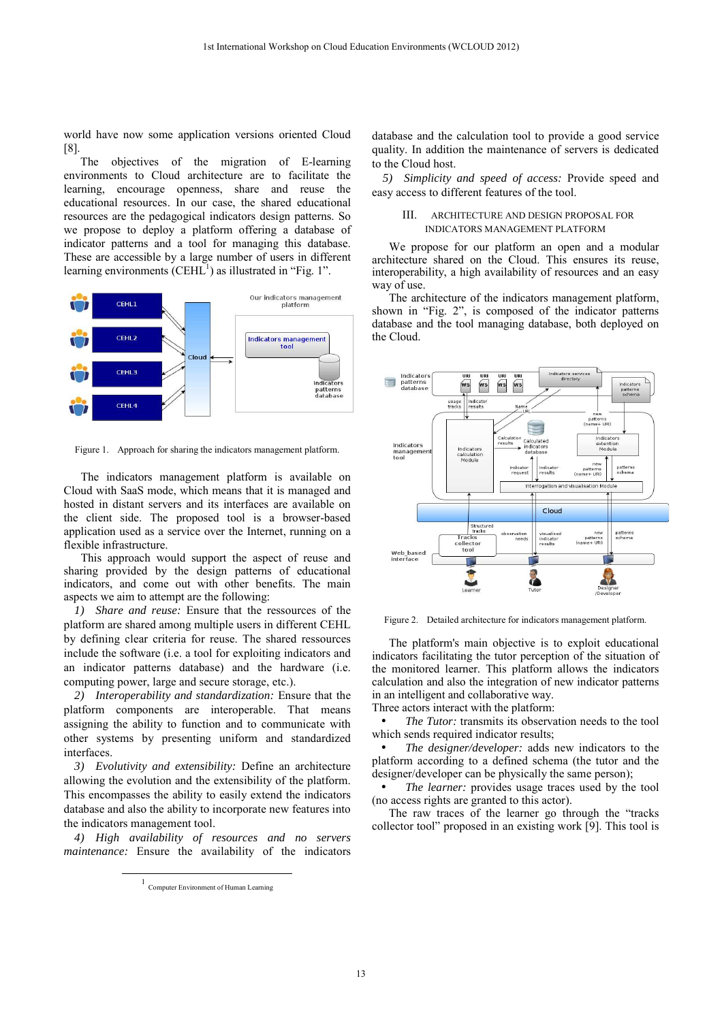world have now some application versions oriented Cloud [8].

The objectives of the migration of E-learning environments to Cloud architecture are to facilitate the learning, encourage openness, share and reuse the educational resources. In our case, the shared educational resources are the pedagogical indicators design patterns. So we propose to deploy a platform offering a database of indicator patterns and a tool for managing this database. These are accessible by a large number of users in different learning environments  $(CEHL<sup>1</sup>)$  as illustrated in "Fig. 1".



Figure 1. Approach for sharing the indicators management platform.

The indicators management platform is available on Cloud with SaaS mode, which means that it is managed and hosted in distant servers and its interfaces are available on the client side. The proposed tool is a browser-based application used as a service over the Internet, running on a flexible infrastructure.

This approach would support the aspect of reuse and sharing provided by the design patterns of educational indicators, and come out with other benefits. The main aspects we aim to attempt are the following:

*1) Share and reuse:* Ensure that the ressources of the platform are shared among multiple users in different CEHL by defining clear criteria for reuse. The shared ressources include the software (i.e. a tool for exploiting indicators and an indicator patterns database) and the hardware (i.e. computing power, large and secure storage, etc.).

*2) Interoperability and standardization:* Ensure that the platform components are interoperable. That means assigning the ability to function and to communicate with other systems by presenting uniform and standardized interfaces.

*3) Evolutivity and extensibility:* Define an architecture allowing the evolution and the extensibility of the platform. This encompasses the ability to easily extend the indicators database and also the ability to incorporate new features into the indicators management tool.

*4) High availability of resources and no servers maintenance:* Ensure the availability of the indicators

1

database and the calculation tool to provide a good service quality. In addition the maintenance of servers is dedicated to the Cloud host.

*5) Simplicity and speed of access:* Provide speed and easy access to different features of the tool.

# III. ARCHITECTURE AND DESIGN PROPOSAL FOR INDICATORS MANAGEMENT PLATFORM

We propose for our platform an open and a modular architecture shared on the Cloud. This ensures its reuse, interoperability, a high availability of resources and an easy way of use.

The architecture of the indicators management platform, shown in "Fig. 2", is composed of the indicator patterns database and the tool managing database, both deployed on the Cloud.



Figure 2. Detailed architecture for indicators management platform.

The platform's main objective is to exploit educational indicators facilitating the tutor perception of the situation of the monitored learner. This platform allows the indicators calculation and also the integration of new indicator patterns in an intelligent and collaborative way.

Three actors interact with the platform:

The Tutor: transmits its observation needs to the tool which sends required indicator results;

• *The designer/developer:* adds new indicators to the platform according to a defined schema (the tutor and the designer/developer can be physically the same person);

The learner: provides usage traces used by the tool (no access rights are granted to this actor).

 The raw traces of the learner go through the "tracks collector tool" proposed in an existing work [9]. This tool is

<sup>1</sup> Computer Environment of Human Learning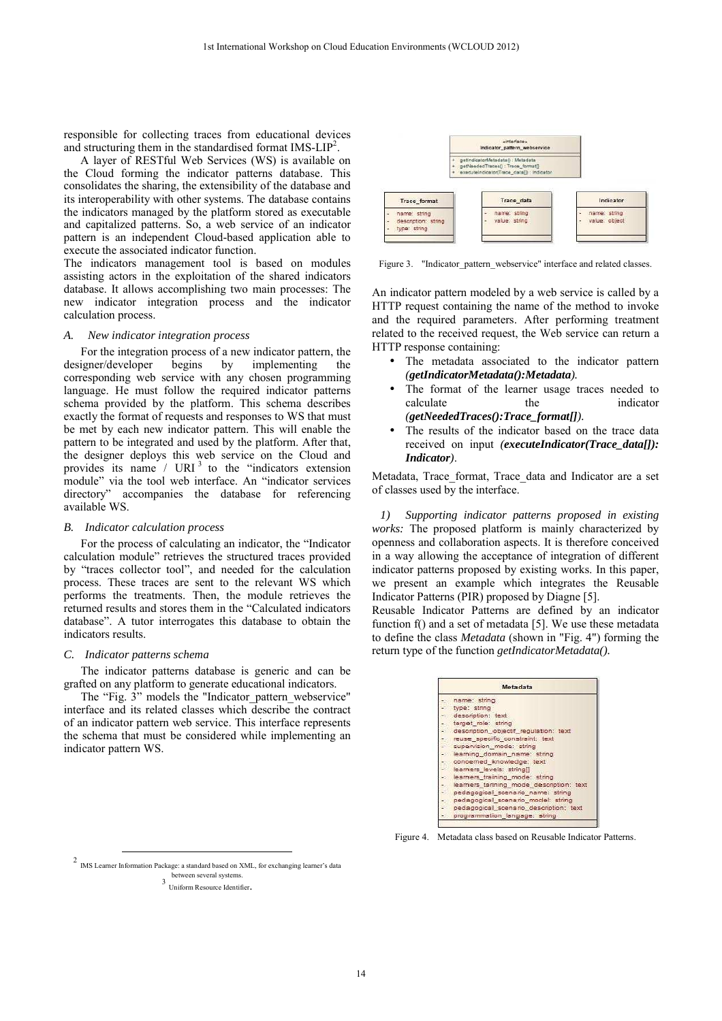responsible for collecting traces from educational devices and structuring them in the standardised format IMS- $LIP<sup>2</sup>$ .

 A layer of RESTful Web Services (WS) is available on the Cloud forming the indicator patterns database. This consolidates the sharing, the extensibility of the database and its interoperability with other systems. The database contains the indicators managed by the platform stored as executable and capitalized patterns. So, a web service of an indicator pattern is an independent Cloud-based application able to execute the associated indicator function.

The indicators management tool is based on modules assisting actors in the exploitation of the shared indicators database. It allows accomplishing two main processes: The new indicator integration process and the indicator calculation process.

## *A. New indicator integration process*

For the integration process of a new indicator pattern, the designer/developer begins by implementing the corresponding web service with any chosen programming language. He must follow the required indicator patterns schema provided by the platform. This schema describes exactly the format of requests and responses to WS that must be met by each new indicator pattern. This will enable the pattern to be integrated and used by the platform. After that, the designer deploys this web service on the Cloud and provides its name / URI $<sup>3</sup>$  to the "indicators extension</sup> module" via the tool web interface. An "indicator services directory" accompanies the database for referencing available WS.

# *B. Indicator calculation process*

For the process of calculating an indicator, the "Indicator calculation module" retrieves the structured traces provided by "traces collector tool", and needed for the calculation process. These traces are sent to the relevant WS which performs the treatments. Then, the module retrieves the returned results and stores them in the "Calculated indicators database". A tutor interrogates this database to obtain the indicators results.

#### *C. Indicator patterns schema*

j

The indicator patterns database is generic and can be grafted on any platform to generate educational indicators.

The "Fig. 3" models the "Indicator pattern webservice" interface and its related classes which describe the contract of an indicator pattern web service. This interface represents the schema that must be considered while implementing an indicator pattern WS.



Figure 3. "Indicator pattern\_webservice" interface and related classes.

An indicator pattern modeled by a web service is called by a HTTP request containing the name of the method to invoke and the required parameters. After performing treatment related to the received request, the Web service can return a HTTP response containing:

- The metadata associated to the indicator pattern *(getIndicatorMetadata():Metadata).*
- The format of the learner usage traces needed to calculate the indicator *(getNeededTraces():Trace\_format[]).*
- The results of the indicator based on the trace data received on input *(executeIndicator(Trace\_data[]): Indicator)*.

Metadata, Trace format, Trace data and Indicator are a set of classes used by the interface.

*1) Supporting indicator patterns proposed in existing works:* The proposed platform is mainly characterized by openness and collaboration aspects. It is therefore conceived in a way allowing the acceptance of integration of different indicator patterns proposed by existing works. In this paper, we present an example which integrates the Reusable Indicator Patterns (PIR) proposed by Diagne [5].

Reusable Indicator Patterns are defined by an indicator function f() and a set of metadata [5]. We use these metadata to define the class *Metadata* (shown in "Fig. 4") forming the return type of the function *getIndicatorMetadata().* 

| Metadata      |                                          |  |  |  |
|---------------|------------------------------------------|--|--|--|
|               | name: string                             |  |  |  |
|               | type: string                             |  |  |  |
|               | - description: text                      |  |  |  |
|               | target role: string                      |  |  |  |
|               | - description objectif regulation: text  |  |  |  |
| -3            | reuse specific constraint; text          |  |  |  |
|               | supervision mode: string                 |  |  |  |
| الانجا        | learning domain name: string             |  |  |  |
|               | concerned knowledge: text                |  |  |  |
|               | learners levels: string[]                |  |  |  |
| $\Rightarrow$ | learners training mode: string           |  |  |  |
|               | learners tarining mode description: text |  |  |  |
|               | pedagogical scenario name: string        |  |  |  |
|               | pedagogical scenario model: string       |  |  |  |
|               | pedagogical scenario description: text   |  |  |  |
|               | programmation_langage: string            |  |  |  |

Figure 4. Metadata class based on Reusable Indicator Patterns.

<sup>2</sup> IMS Learner Information Package: a standard based on XML, for exchanging learner's data between several systems.

<sup>3</sup> Uniform Resource Identifier.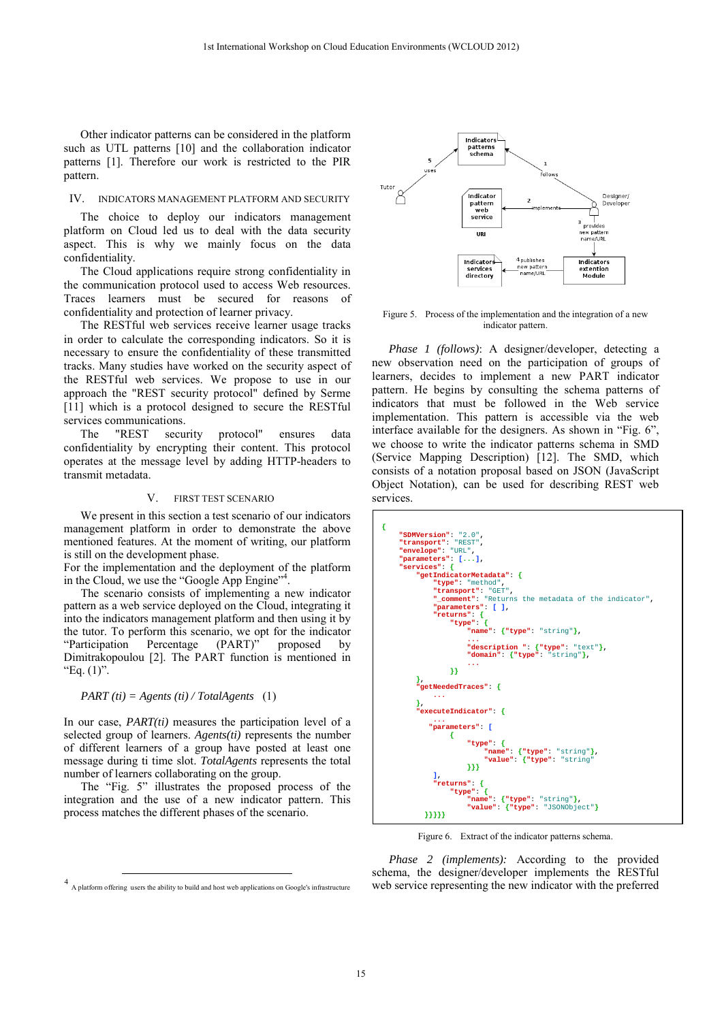Other indicator patterns can be considered in the platform such as UTL patterns [10] and the collaboration indicator patterns [1]. Therefore our work is restricted to the PIR pattern.

### IV. INDICATORS MANAGEMENT PLATFORM AND SECURITY

The choice to deploy our indicators management platform on Cloud led us to deal with the data security aspect. This is why we mainly focus on the data confidentiality.

The Cloud applications require strong confidentiality in the communication protocol used to access Web resources. Traces learners must be secured for reasons of confidentiality and protection of learner privacy.

The RESTful web services receive learner usage tracks in order to calculate the corresponding indicators. So it is necessary to ensure the confidentiality of these transmitted tracks. Many studies have worked on the security aspect of the RESTful web services. We propose to use in our approach the "REST security protocol" defined by Serme [11] which is a protocol designed to secure the RESTful services communications.

The "REST security protocol" ensures data confidentiality by encrypting their content. This protocol operates at the message level by adding HTTP-headers to transmit metadata.

## V. FIRST TEST SCENARIO

We present in this section a test scenario of our indicators management platform in order to demonstrate the above mentioned features. At the moment of writing, our platform is still on the development phase.

For the implementation and the deployment of the platform in the Cloud, we use the "Google App Engine"<sup>4</sup>.

The scenario consists of implementing a new indicator pattern as a web service deployed on the Cloud, integrating it into the indicators management platform and then using it by the tutor. To perform this scenario, we opt for the indicator<br>
"Participation Percentage (PART)" proposed by Percentage (PART)" proposed by Dimitrakopoulou [2]. The PART function is mentioned in "Eq.  $(1)$ ".

## *PART (ti) = Agents (ti) / TotalAgents* (1)

In our case, *PART(ti)* measures the participation level of a selected group of learners. *Agents(ti)* represents the number of different learners of a group have posted at least one message during ti time slot. *TotalAgents* represents the total number of learners collaborating on the group.

The "Fig. 5" illustrates the proposed process of the integration and the use of a new indicator pattern. This process matches the different phases of the scenario.

1



Figure 5. Process of the implementation and the integration of a new indicator pattern.

*Phase 1 (follows)*: A designer/developer, detecting a new observation need on the participation of groups of learners, decides to implement a new PART indicator pattern. He begins by consulting the schema patterns of indicators that must be followed in the Web service implementation. This pattern is accessible via the web interface available for the designers. As shown in "Fig. 6", we choose to write the indicator patterns schema in SMD (Service Mapping Description) [12]. The SMD, which consists of a notation proposal based on JSON (JavaScript Object Notation), can be used for describing REST web services.

| Ł                                                    |  |  |  |  |  |  |
|------------------------------------------------------|--|--|--|--|--|--|
| "SDMVersion": "2.0",                                 |  |  |  |  |  |  |
| "transport": "REST",                                 |  |  |  |  |  |  |
| "envelope": "URL",<br>"parameters": $[]$ ,           |  |  |  |  |  |  |
|                                                      |  |  |  |  |  |  |
| "getIndicatorMetadata": {                            |  |  |  |  |  |  |
| "type": "method",<br>"transport": "GET",             |  |  |  |  |  |  |
| " comment": "Returns the metadata of the indicator", |  |  |  |  |  |  |
| "parameters" [ ].                                    |  |  |  |  |  |  |
| "returns" $\{$                                       |  |  |  |  |  |  |
| "type" $\{$                                          |  |  |  |  |  |  |
| "name": {"type": "string"},                          |  |  |  |  |  |  |
|                                                      |  |  |  |  |  |  |
| "description " {"type" "text"},                      |  |  |  |  |  |  |
| "domain": {"type": "string"},                        |  |  |  |  |  |  |
| $\cdots$<br>11                                       |  |  |  |  |  |  |
| ۱,                                                   |  |  |  |  |  |  |
| "getNeededTraces": {                                 |  |  |  |  |  |  |
| $\cdots$                                             |  |  |  |  |  |  |
| ١,                                                   |  |  |  |  |  |  |
| "executeIndicator": {                                |  |  |  |  |  |  |
|                                                      |  |  |  |  |  |  |
| "parameters": [                                      |  |  |  |  |  |  |
|                                                      |  |  |  |  |  |  |
| "type" $\{$                                          |  |  |  |  |  |  |
|                                                      |  |  |  |  |  |  |
| "value": {"type": "string"                           |  |  |  |  |  |  |
| 333                                                  |  |  |  |  |  |  |
| ı,<br>"returns": $\{$                                |  |  |  |  |  |  |
| "type" $\{$                                          |  |  |  |  |  |  |
| "name": ${\texttt{\{ "type"} : "string"} }$ ,        |  |  |  |  |  |  |
| "value": {"type": "JSONObject"}                      |  |  |  |  |  |  |
| }}}}}                                                |  |  |  |  |  |  |

Figure 6. Extract of the indicator patterns schema.

*Phase 2 (implements):* According to the provided schema, the designer/developer implements the RESTful web service representing the new indicator with the preferred

<sup>4</sup> A platform offering users the ability to build and host web applications on Google's infrastructure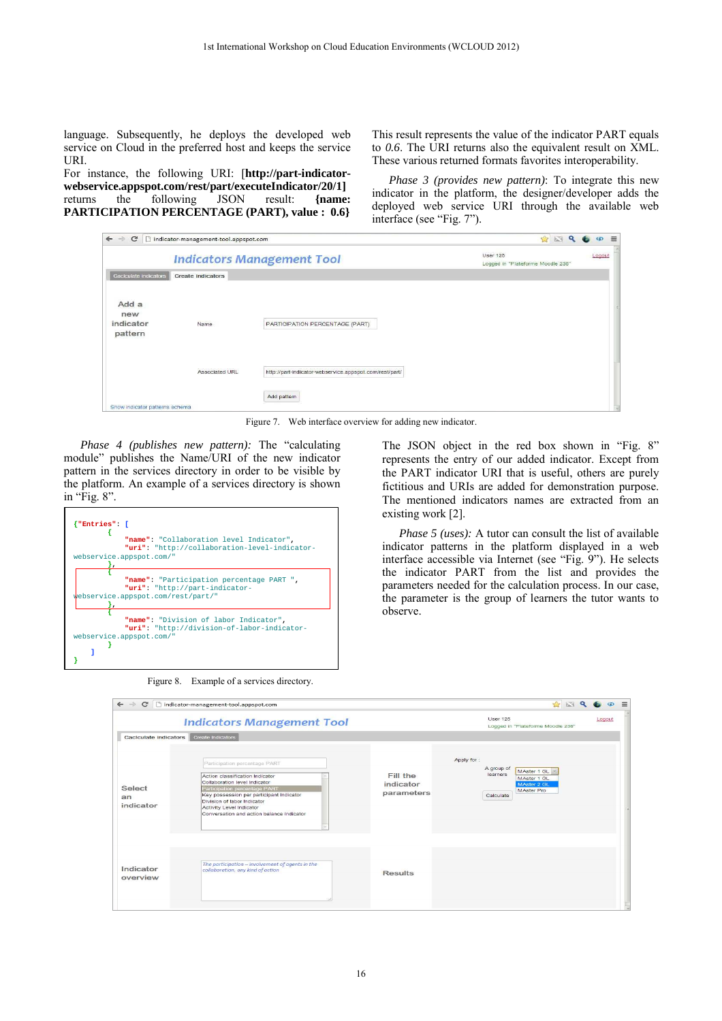language. Subsequently, he deploys the developed web service on Cloud in the preferred host and keeps the service URI.

For instance, the following URI: [**http://part-indicatorwebservice.appspot.com/rest/part/executeIndicator/20/1]** returns the following JSON result: **{name: PARTICIPATION PERCENTAGE (PART), value : 0.6}**

This result represents the value of the indicator PART equals to *0.6*. The URI returns also the equivalent result on XML. These various returned formats favorites interoperability.

*Phase 3 (provides new pattern)*: To integrate this new indicator in the platform, the designer/developer adds the deployed web service URI through the available web interface (see "Fig. 7").

| $\leftarrow$ $\rightarrow$<br>$\mathbf{C}$ | indicator-management-tool.appspot.com | <b>BEQ</b><br>$\circ$ $\equiv$                          |                                                      |        |
|--------------------------------------------|---------------------------------------|---------------------------------------------------------|------------------------------------------------------|--------|
| <b>Indicators Management Tool</b>          |                                       |                                                         | <b>User 125</b><br>Logged in "Plateforme Moodle 236" | Logout |
| <b>Caclculate indicators</b>               | <b>Create indicators</b>              |                                                         |                                                      |        |
| Add a<br>new<br>indicator<br>pattern       | Name                                  | PARTICIPATION PERCENTAGE (PART)                         |                                                      |        |
|                                            | Associated URL                        | http://part-indicator-webservice.appspot.com/rest/part/ |                                                      |        |
| Show indicator patterns schema             |                                       | Add pattern                                             |                                                      |        |

Figure 7. Web interface overview for adding new indicator.

*Phase 4 (publishes new pattern):* The "calculating module" publishes the Name/URI of the new indicator pattern in the services directory in order to be visible by the platform. An example of a services directory is shown in "Fig. 8".



Figure 8. Example of a services directory.

The JSON object in the red box shown in "Fig. 8" represents the entry of our added indicator. Except from the PART indicator URI that is useful, others are purely fictitious and URIs are added for demonstration purpose. The mentioned indicators names are extracted from an existing work [2].

*Phase 5 (uses):* A tutor can consult the list of available indicator patterns in the platform displayed in a web interface accessible via Internet (see "Fig. 9"). He selects the indicator PART from the list and provides the parameters needed for the calculation process. In our case, the parameter is the group of learners the tutor wants to observe.

| $\leftarrow$ $\rightarrow$<br>C | ndicator-management-tool.appspot.com                                                                                                                                                                                                                                                   |                                     | ☆ 図 Q                                                                                                        | $\circ$ $\equiv$ |
|---------------------------------|----------------------------------------------------------------------------------------------------------------------------------------------------------------------------------------------------------------------------------------------------------------------------------------|-------------------------------------|--------------------------------------------------------------------------------------------------------------|------------------|
|                                 | <b>Indicators Management Tool</b>                                                                                                                                                                                                                                                      |                                     | <b>User 125</b><br>Logged in "Plateforme Moodle 236"                                                         | Logout           |
| Caclculate indicators           | Create Indicators                                                                                                                                                                                                                                                                      |                                     |                                                                                                              |                  |
| Select<br>an<br>indicator       | Participation percentage PART<br>Action classification Indicator<br>Collaboration level Indicator<br>Participation percentage PART<br>Key possession per participant Indicator<br>Division of labor Indicator<br>Activity Level Indicator<br>Conversation and action balance Indicator | Fill the<br>indicator<br>parameters | Apply for:<br>A group of<br>MAster 1 GL<br>learners<br>MAster 1 GL<br>MAster 2 GL<br>MAster Pro<br>Calculate |                  |
| Indicator<br>overview           | The participation - involvement of agents in the<br>collaboration, any kind of action                                                                                                                                                                                                  | <b>Results</b>                      |                                                                                                              |                  |